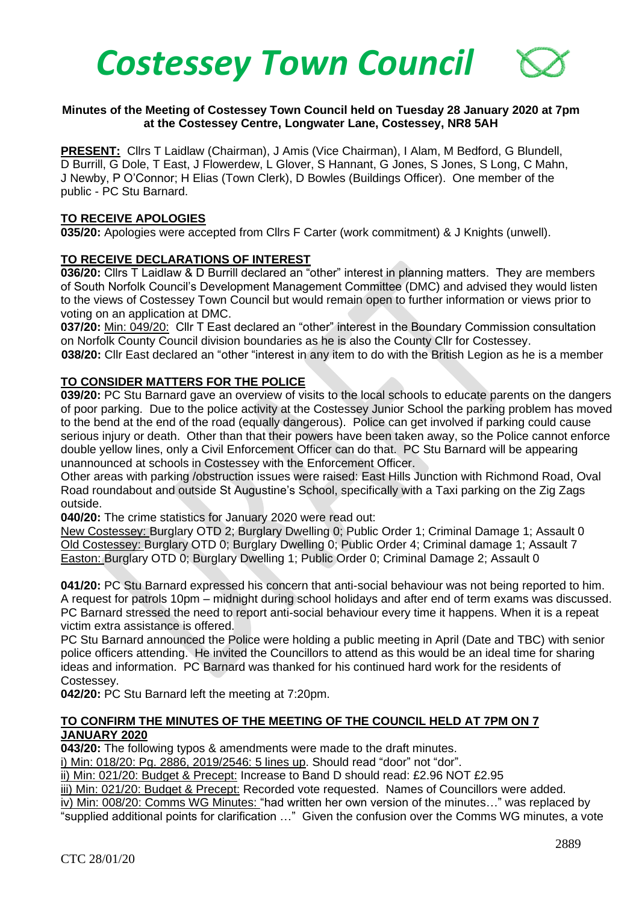

## **Minutes of the Meeting of Costessey Town Council held on Tuesday 28 January 2020 at 7pm at the Costessey Centre, Longwater Lane, Costessey, NR8 5AH**

**PRESENT:** Cllrs T Laidlaw (Chairman), J Amis (Vice Chairman), I Alam, M Bedford, G Blundell, D Burrill, G Dole, T East, J Flowerdew, L Glover, S Hannant, G Jones, S Jones, S Long, C Mahn, J Newby, P O'Connor; H Elias (Town Clerk), D Bowles (Buildings Officer). One member of the public - PC Stu Barnard.

#### **TO RECEIVE APOLOGIES**

**035/20:** Apologies were accepted from Cllrs F Carter (work commitment) & J Knights (unwell).

## **TO RECEIVE DECLARATIONS OF INTEREST**

**036/20:** Cllrs T Laidlaw & D Burrill declared an "other" interest in planning matters. They are members of South Norfolk Council's Development Management Committee (DMC) and advised they would listen to the views of Costessey Town Council but would remain open to further information or views prior to voting on an application at DMC.

**037/20:** Min: 049/20: Cllr T East declared an "other" interest in the Boundary Commission consultation on Norfolk County Council division boundaries as he is also the County Cllr for Costessey.

**038/20:** Cllr East declared an "other "interest in any item to do with the British Legion as he is a member

# **TO CONSIDER MATTERS FOR THE POLICE**

**039/20:** PC Stu Barnard gave an overview of visits to the local schools to educate parents on the dangers of poor parking. Due to the police activity at the Costessey Junior School the parking problem has moved to the bend at the end of the road (equally dangerous). Police can get involved if parking could cause serious injury or death. Other than that their powers have been taken away, so the Police cannot enforce double yellow lines, only a Civil Enforcement Officer can do that. PC Stu Barnard will be appearing unannounced at schools in Costessey with the Enforcement Officer.

Other areas with parking /obstruction issues were raised: East Hills Junction with Richmond Road, Oval Road roundabout and outside St Augustine's School, specifically with a Taxi parking on the Zig Zags outside.

**040/20:** The crime statistics for January 2020 were read out:

New Costessey: Burglary OTD 2; Burglary Dwelling 0; Public Order 1; Criminal Damage 1; Assault 0 Old Costessey: Burglary OTD 0; Burglary Dwelling 0; Public Order 4; Criminal damage 1; Assault 7 Easton: Burglary OTD 0; Burglary Dwelling 1; Public Order 0; Criminal Damage 2; Assault 0

**041/20:** PC Stu Barnard expressed his concern that anti-social behaviour was not being reported to him. A request for patrols 10pm – midnight during school holidays and after end of term exams was discussed. PC Barnard stressed the need to report anti-social behaviour every time it happens. When it is a repeat victim extra assistance is offered.

PC Stu Barnard announced the Police were holding a public meeting in April (Date and TBC) with senior police officers attending. He invited the Councillors to attend as this would be an ideal time for sharing ideas and information. PC Barnard was thanked for his continued hard work for the residents of Costessey.

**042/20:** PC Stu Barnard left the meeting at 7:20pm.

## **TO CONFIRM THE MINUTES OF THE MEETING OF THE COUNCIL HELD AT 7PM ON 7 JANUARY 2020**

**043/20:** The following typos & amendments were made to the draft minutes.

i) Min: 018/20: Pg. 2886, 2019/2546: 5 lines up. Should read "door" not "dor".

ii) Min: 021/20: Budget & Precept: Increase to Band D should read: £2.96 NOT £2.95

iii) Min: 021/20: Budget & Precept: Recorded vote requested. Names of Councillors were added.

iv) Min: 008/20: Comms WG Minutes: "had written her own version of the minutes…" was replaced by "supplied additional points for clarification …" Given the confusion over the Comms WG minutes, a vote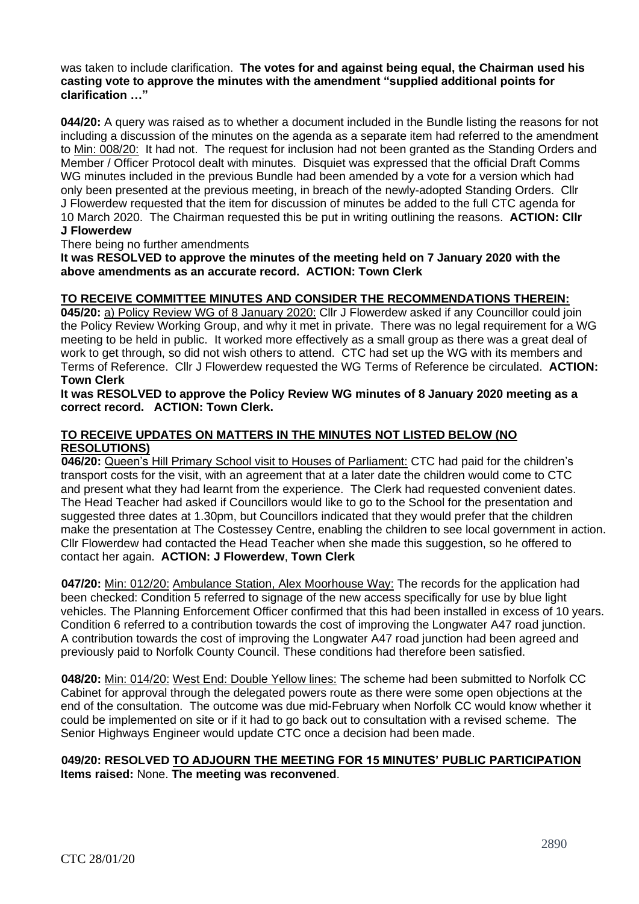was taken to include clarification. **The votes for and against being equal, the Chairman used his casting vote to approve the minutes with the amendment "supplied additional points for clarification …"** 

**044/20:** A query was raised as to whether a document included in the Bundle listing the reasons for not including a discussion of the minutes on the agenda as a separate item had referred to the amendment to Min: 008/20: It had not. The request for inclusion had not been granted as the Standing Orders and Member / Officer Protocol dealt with minutes. Disquiet was expressed that the official Draft Comms WG minutes included in the previous Bundle had been amended by a vote for a version which had only been presented at the previous meeting, in breach of the newly-adopted Standing Orders. Cllr J Flowerdew requested that the item for discussion of minutes be added to the full CTC agenda for 10 March 2020. The Chairman requested this be put in writing outlining the reasons. **ACTION: Cllr J Flowerdew**

There being no further amendments

**It was RESOLVED to approve the minutes of the meeting held on 7 January 2020 with the above amendments as an accurate record. ACTION: Town Clerk**

## **TO RECEIVE COMMITTEE MINUTES AND CONSIDER THE RECOMMENDATIONS THEREIN:**

**045/20:** a) Policy Review WG of 8 January 2020: Cllr J Flowerdew asked if any Councillor could join the Policy Review Working Group, and why it met in private. There was no legal requirement for a WG meeting to be held in public. It worked more effectively as a small group as there was a great deal of work to get through, so did not wish others to attend. CTC had set up the WG with its members and Terms of Reference. Cllr J Flowerdew requested the WG Terms of Reference be circulated. **ACTION: Town Clerk**

**It was RESOLVED to approve the Policy Review WG minutes of 8 January 2020 meeting as a correct record. ACTION: Town Clerk.**

# **TO RECEIVE UPDATES ON MATTERS IN THE MINUTES NOT LISTED BELOW (NO RESOLUTIONS)**

 **046/20:** Queen's Hill Primary School visit to Houses of Parliament: CTC had paid for the children's transport costs for the visit, with an agreement that at a later date the children would come to CTC and present what they had learnt from the experience. The Clerk had requested convenient dates. The Head Teacher had asked if Councillors would like to go to the School for the presentation and suggested three dates at 1.30pm, but Councillors indicated that they would prefer that the children make the presentation at The Costessey Centre, enabling the children to see local government in action. Cllr Flowerdew had contacted the Head Teacher when she made this suggestion, so he offered to contact her again. **ACTION: J Flowerdew**, **Town Clerk**

 **047/20:** Min: 012/20: Ambulance Station, Alex Moorhouse Way: The records for the application had been checked: Condition 5 referred to signage of the new access specifically for use by blue light vehicles. The Planning Enforcement Officer confirmed that this had been installed in excess of 10 years. Condition 6 referred to a contribution towards the cost of improving the Longwater A47 road junction. A contribution towards the cost of improving the Longwater A47 road junction had been agreed and previously paid to Norfolk County Council. These conditions had therefore been satisfied.

 **048/20:** Min: 014/20: West End: Double Yellow lines: The scheme had been submitted to Norfolk CC Cabinet for approval through the delegated powers route as there were some open objections at the end of the consultation. The outcome was due mid-February when Norfolk CC would know whether it could be implemented on site or if it had to go back out to consultation with a revised scheme. The Senior Highways Engineer would update CTC once a decision had been made.

## **049/20: RESOLVED TO ADJOURN THE MEETING FOR 15 MINUTES' PUBLIC PARTICIPATION Items raised:** None. **The meeting was reconvened**.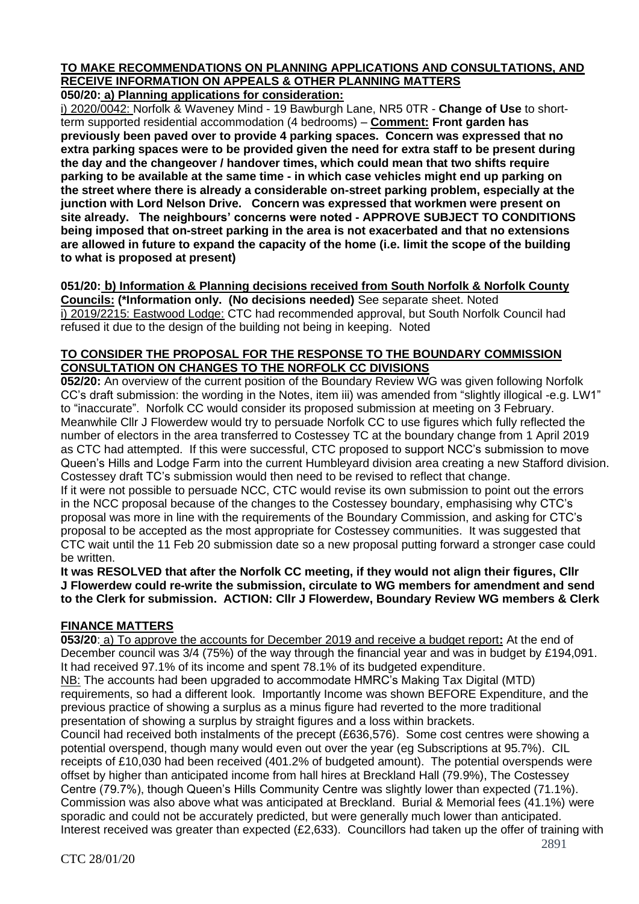# **TO MAKE RECOMMENDATIONS ON PLANNING APPLICATIONS AND CONSULTATIONS, AND RECEIVE INFORMATION ON APPEALS & OTHER PLANNING MATTERS**

**050/20: a) Planning applications for consideration:**

i) 2020/0042: Norfolk & Waveney Mind - 19 Bawburgh Lane, NR5 0TR - **Change of Use** to shortterm supported residential accommodation (4 bedrooms) – **Comment: Front garden has previously been paved over to provide 4 parking spaces. Concern was expressed that no extra parking spaces were to be provided given the need for extra staff to be present during the day and the changeover / handover times, which could mean that two shifts require parking to be available at the same time - in which case vehicles might end up parking on the street where there is already a considerable on-street parking problem, especially at the junction with Lord Nelson Drive. Concern was expressed that workmen were present on site already. The neighbours' concerns were noted - APPROVE SUBJECT TO CONDITIONS being imposed that on-street parking in the area is not exacerbated and that no extensions are allowed in future to expand the capacity of the home (i.e. limit the scope of the building to what is proposed at present)**

# **051/20: b) Information & Planning decisions received from South Norfolk & Norfolk County**

**Councils: (\*Information only. (No decisions needed)** See separate sheet. Noted i) 2019/2215: Eastwood Lodge: CTC had recommended approval, but South Norfolk Council had refused it due to the design of the building not being in keeping. Noted

# **TO CONSIDER THE PROPOSAL FOR THE RESPONSE TO THE BOUNDARY COMMISSION CONSULTATION ON CHANGES TO THE NORFOLK CC DIVISIONS**

**052/20:** An overview of the current position of the Boundary Review WG was given following Norfolk CC's draft submission: the wording in the Notes, item iii) was amended from "slightly illogical -e.g. LW1" to "inaccurate". Norfolk CC would consider its proposed submission at meeting on 3 February. Meanwhile Cllr J Flowerdew would try to persuade Norfolk CC to use figures which fully reflected the number of electors in the area transferred to Costessey TC at the boundary change from 1 April 2019 as CTC had attempted. If this were successful, CTC proposed to support NCC's submission to move Queen's Hills and Lodge Farm into the current Humbleyard division area creating a new Stafford division. Costessey draft TC's submission would then need to be revised to reflect that change.

If it were not possible to persuade NCC, CTC would revise its own submission to point out the errors in the NCC proposal because of the changes to the Costessey boundary, emphasising why CTC's proposal was more in line with the requirements of the Boundary Commission, and asking for CTC's proposal to be accepted as the most appropriate for Costessey communities. It was suggested that CTC wait until the 11 Feb 20 submission date so a new proposal putting forward a stronger case could be written.

**It was RESOLVED that after the Norfolk CC meeting, if they would not align their figures, Cllr J Flowerdew could re-write the submission, circulate to WG members for amendment and send to the Clerk for submission. ACTION: Cllr J Flowerdew, Boundary Review WG members & Clerk** 

# **FINANCE MATTERS**

**053/20**: a) To approve the accounts for December 2019 and receive a budget report**:** At the end of December council was 3/4 (75%) of the way through the financial year and was in budget by £194,091. It had received 97.1% of its income and spent 78.1% of its budgeted expenditure. NB: The accounts had been upgraded to accommodate HMRC's Making Tax Digital (MTD) requirements, so had a different look. Importantly Income was shown BEFORE Expenditure, and the previous practice of showing a surplus as a minus figure had reverted to the more traditional presentation of showing a surplus by straight figures and a loss within brackets. Council had received both instalments of the precept (£636,576). Some cost centres were showing a

potential overspend, though many would even out over the year (eg Subscriptions at 95.7%). CIL receipts of £10,030 had been received (401.2% of budgeted amount). The potential overspends were offset by higher than anticipated income from hall hires at Breckland Hall (79.9%), The Costessey Centre (79.7%), though Queen's Hills Community Centre was slightly lower than expected (71.1%). Commission was also above what was anticipated at Breckland. Burial & Memorial fees (41.1%) were sporadic and could not be accurately predicted, but were generally much lower than anticipated. Interest received was greater than expected (£2,633). Councillors had taken up the offer of training with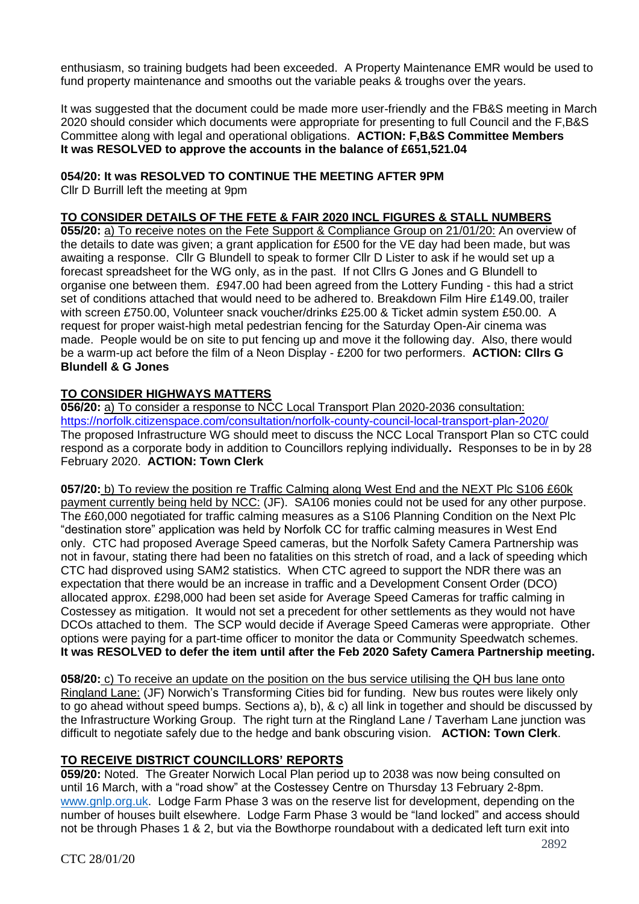enthusiasm, so training budgets had been exceeded. A Property Maintenance EMR would be used to fund property maintenance and smooths out the variable peaks & troughs over the years.

It was suggested that the document could be made more user-friendly and the FB&S meeting in March 2020 should consider which documents were appropriate for presenting to full Council and the F,B&S Committee along with legal and operational obligations. **ACTION: F,B&S Committee Members It was RESOLVED to approve the accounts in the balance of £651,521.04**

# **054/20: It was RESOLVED TO CONTINUE THE MEETING AFTER 9PM**

Cllr D Burrill left the meeting at 9pm

# **TO CONSIDER DETAILS OF THE FETE & FAIR 2020 INCL FIGURES & STALL NUMBERS**

**055/20:** a) To **r**eceive notes on the Fete Support & Compliance Group on 21/01/20: An overview of the details to date was given; a grant application for £500 for the VE day had been made, but was awaiting a response. Cllr G Blundell to speak to former Cllr D Lister to ask if he would set up a forecast spreadsheet for the WG only, as in the past. If not Cllrs G Jones and G Blundell to organise one between them. £947.00 had been agreed from the Lottery Funding - this had a strict set of conditions attached that would need to be adhered to. Breakdown Film Hire £149.00, trailer with screen £750.00, Volunteer snack voucher/drinks £25.00 & Ticket admin system £50.00. A request for proper waist-high metal pedestrian fencing for the Saturday Open-Air cinema was made. People would be on site to put fencing up and move it the following day. Also, there would be a warm-up act before the film of a Neon Display - £200 for two performers. **ACTION: Cllrs G Blundell & G Jones**

# **TO CONSIDER HIGHWAYS MATTERS**

**056/20:** a) To consider a response to NCC Local Transport Plan 2020-2036 consultation: <https://norfolk.citizenspace.com/consultation/norfolk-county-council-local-transport-plan-2020/> The proposed Infrastructure WG should meet to discuss the NCC Local Transport Plan so CTC could respond as a corporate body in addition to Councillors replying individually**.** Responses to be in by 28 February 2020. **ACTION: Town Clerk**

**057/20:** b) To review the position re Traffic Calming along West End and the NEXT Plc S106 £60k payment currently being held by NCC: (JF). SA106 monies could not be used for any other purpose. The £60,000 negotiated for traffic calming measures as a S106 Planning Condition on the Next Plc "destination store" application was held by Norfolk CC for traffic calming measures in West End only. CTC had proposed Average Speed cameras, but the Norfolk Safety Camera Partnership was not in favour, stating there had been no fatalities on this stretch of road, and a lack of speeding which CTC had disproved using SAM2 statistics. When CTC agreed to support the NDR there was an expectation that there would be an increase in traffic and a Development Consent Order (DCO) allocated approx. £298,000 had been set aside for Average Speed Cameras for traffic calming in Costessey as mitigation. It would not set a precedent for other settlements as they would not have DCOs attached to them. The SCP would decide if Average Speed Cameras were appropriate. Other options were paying for a part-time officer to monitor the data or Community Speedwatch schemes. **It was RESOLVED to defer the item until after the Feb 2020 Safety Camera Partnership meeting.**

**058/20:** c) To receive an update on the position on the bus service utilising the QH bus lane onto Ringland Lane: (JF) Norwich's Transforming Cities bid for funding. New bus routes were likely only to go ahead without speed bumps. Sections a), b), & c) all link in together and should be discussed by the Infrastructure Working Group. The right turn at the Ringland Lane / Taverham Lane junction was difficult to negotiate safely due to the hedge and bank obscuring vision. **ACTION: Town Clerk**.

# **TO RECEIVE DISTRICT COUNCILLORS' REPORTS**

**059/20:** Noted.The Greater Norwich Local Plan period up to 2038 was now being consulted on until 16 March, with a "road show" at the Costessey Centre on Thursday 13 February 2-8pm. [www.gnlp.org.uk.](http://www.gnlp.org.uk/) Lodge Farm Phase 3 was on the reserve list for development, depending on the number of houses built elsewhere. Lodge Farm Phase 3 would be "land locked" and access should not be through Phases 1 & 2, but via the Bowthorpe roundabout with a dedicated left turn exit into